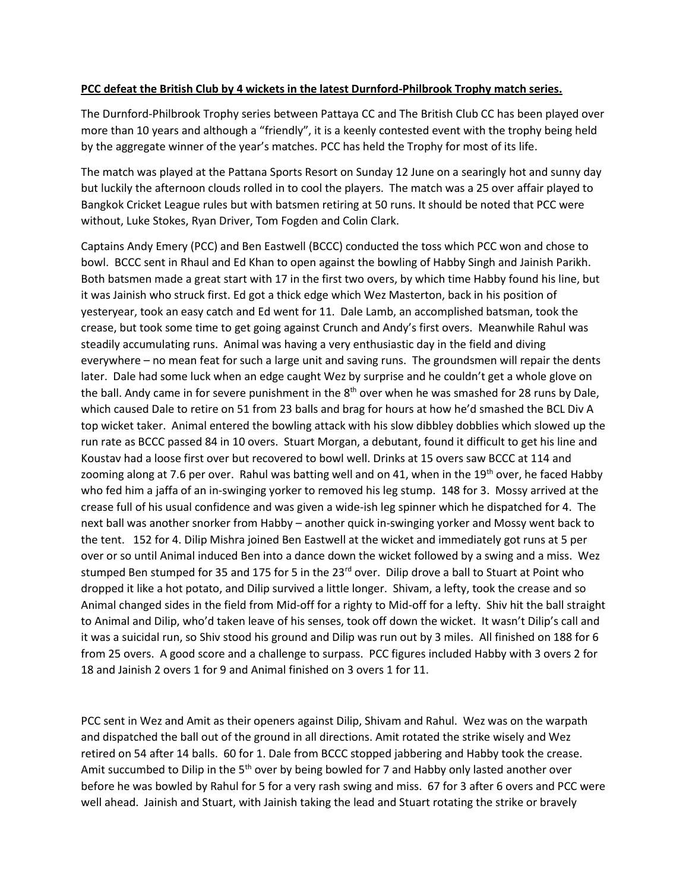## **PCC defeat the British Club by 4 wickets in the latest Durnford-Philbrook Trophy match series.**

The Durnford-Philbrook Trophy series between Pattaya CC and The British Club CC has been played over more than 10 years and although a "friendly", it is a keenly contested event with the trophy being held by the aggregate winner of the year's matches. PCC has held the Trophy for most of its life.

The match was played at the Pattana Sports Resort on Sunday 12 June on a searingly hot and sunny day but luckily the afternoon clouds rolled in to cool the players. The match was a 25 over affair played to Bangkok Cricket League rules but with batsmen retiring at 50 runs. It should be noted that PCC were without, Luke Stokes, Ryan Driver, Tom Fogden and Colin Clark.

Captains Andy Emery (PCC) and Ben Eastwell (BCCC) conducted the toss which PCC won and chose to bowl. BCCC sent in Rhaul and Ed Khan to open against the bowling of Habby Singh and Jainish Parikh. Both batsmen made a great start with 17 in the first two overs, by which time Habby found his line, but it was Jainish who struck first. Ed got a thick edge which Wez Masterton, back in his position of yesteryear, took an easy catch and Ed went for 11. Dale Lamb, an accomplished batsman, took the crease, but took some time to get going against Crunch and Andy's first overs. Meanwhile Rahul was steadily accumulating runs. Animal was having a very enthusiastic day in the field and diving everywhere – no mean feat for such a large unit and saving runs. The groundsmen will repair the dents later. Dale had some luck when an edge caught Wez by surprise and he couldn't get a whole glove on the ball. Andy came in for severe punishment in the  $8<sup>th</sup>$  over when he was smashed for 28 runs by Dale, which caused Dale to retire on 51 from 23 balls and brag for hours at how he'd smashed the BCL Div A top wicket taker. Animal entered the bowling attack with his slow dibbley dobblies which slowed up the run rate as BCCC passed 84 in 10 overs. Stuart Morgan, a debutant, found it difficult to get his line and Koustav had a loose first over but recovered to bowl well. Drinks at 15 overs saw BCCC at 114 and zooming along at 7.6 per over. Rahul was batting well and on 41, when in the 19<sup>th</sup> over, he faced Habby who fed him a jaffa of an in-swinging yorker to removed his leg stump. 148 for 3. Mossy arrived at the crease full of his usual confidence and was given a wide-ish leg spinner which he dispatched for 4. The next ball was another snorker from Habby – another quick in-swinging yorker and Mossy went back to the tent. 152 for 4. Dilip Mishra joined Ben Eastwell at the wicket and immediately got runs at 5 per over or so until Animal induced Ben into a dance down the wicket followed by a swing and a miss. Wez stumped Ben stumped for 35 and 175 for 5 in the  $23<sup>rd</sup>$  over. Dilip drove a ball to Stuart at Point who dropped it like a hot potato, and Dilip survived a little longer. Shivam, a lefty, took the crease and so Animal changed sides in the field from Mid-off for a righty to Mid-off for a lefty. Shiv hit the ball straight to Animal and Dilip, who'd taken leave of his senses, took off down the wicket. It wasn't Dilip's call and it was a suicidal run, so Shiv stood his ground and Dilip was run out by 3 miles. All finished on 188 for 6 from 25 overs. A good score and a challenge to surpass. PCC figures included Habby with 3 overs 2 for 18 and Jainish 2 overs 1 for 9 and Animal finished on 3 overs 1 for 11.

PCC sent in Wez and Amit as their openers against Dilip, Shivam and Rahul. Wez was on the warpath and dispatched the ball out of the ground in all directions. Amit rotated the strike wisely and Wez retired on 54 after 14 balls. 60 for 1. Dale from BCCC stopped jabbering and Habby took the crease. Amit succumbed to Dilip in the 5<sup>th</sup> over by being bowled for 7 and Habby only lasted another over before he was bowled by Rahul for 5 for a very rash swing and miss. 67 for 3 after 6 overs and PCC were well ahead. Jainish and Stuart, with Jainish taking the lead and Stuart rotating the strike or bravely